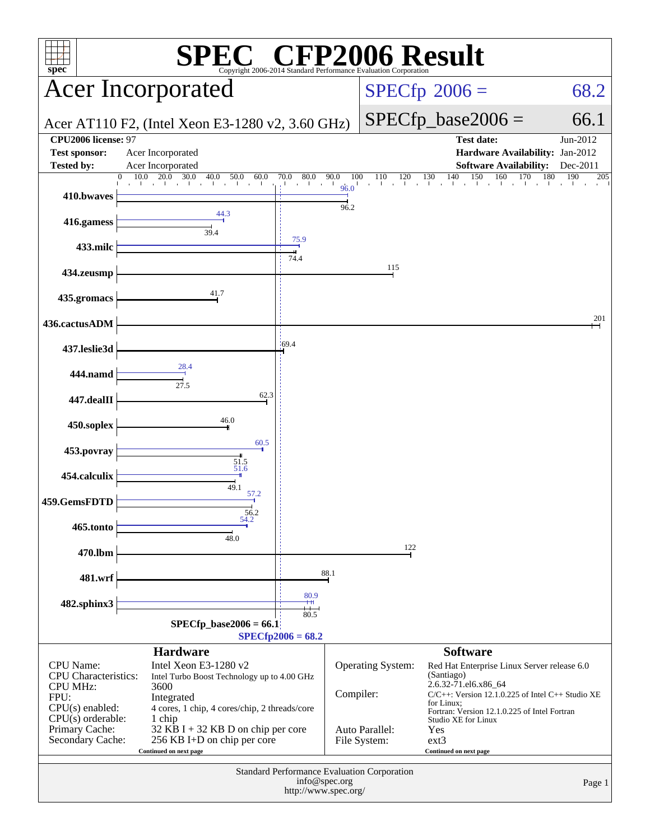| $spec^*$                                                                                                                                              |                                                                                                                                                                                                                                                        |                             |               | Copyright 2006-2014 Standard Performance Evaluation Corporation | $\mathbb{C}^{\scriptscriptstyle \otimes}$ CFP2006 Result                                                                                                                                                                                                                     |                               |  |
|-------------------------------------------------------------------------------------------------------------------------------------------------------|--------------------------------------------------------------------------------------------------------------------------------------------------------------------------------------------------------------------------------------------------------|-----------------------------|---------------|-----------------------------------------------------------------|------------------------------------------------------------------------------------------------------------------------------------------------------------------------------------------------------------------------------------------------------------------------------|-------------------------------|--|
| <b>Acer Incorporated</b>                                                                                                                              |                                                                                                                                                                                                                                                        |                             |               | $SPECfp^{\circ}2006 =$<br>68.2                                  |                                                                                                                                                                                                                                                                              |                               |  |
|                                                                                                                                                       | Acer AT110 F2, (Intel Xeon E3-1280 v2, 3.60 GHz)                                                                                                                                                                                                       |                             |               |                                                                 | $SPECfp\_base2006 =$                                                                                                                                                                                                                                                         | 66.1                          |  |
| CPU2006 license: 97<br><b>Test sponsor:</b><br><b>Tested by:</b>                                                                                      | Acer Incorporated                                                                                                                                                                                                                                      |                             |               |                                                                 | <b>Test date:</b><br>Hardware Availability: Jan-2012                                                                                                                                                                                                                         | Jun-2012                      |  |
|                                                                                                                                                       | Acer Incorporated<br>20.0<br>30.0<br>40.0<br>10.0<br>50.0<br>60.0<br>$\Omega$                                                                                                                                                                          | 80.0<br>70.0                | 90.0<br>100   | 120<br>110                                                      | <b>Software Availability:</b><br>140<br>150<br>160<br>130<br>170                                                                                                                                                                                                             | Dec-2011<br>190<br>180<br>205 |  |
| 410.bwaves                                                                                                                                            |                                                                                                                                                                                                                                                        | and the ar-                 | 96.0<br>96.2  |                                                                 |                                                                                                                                                                                                                                                                              |                               |  |
| 416.gamess                                                                                                                                            | 44.3<br>39.4                                                                                                                                                                                                                                           |                             |               |                                                                 |                                                                                                                                                                                                                                                                              |                               |  |
| 433.milc                                                                                                                                              |                                                                                                                                                                                                                                                        | 75.9                        |               |                                                                 |                                                                                                                                                                                                                                                                              |                               |  |
| 434.zeusmp                                                                                                                                            |                                                                                                                                                                                                                                                        | 74.4                        |               | 115                                                             |                                                                                                                                                                                                                                                                              |                               |  |
| 435.gromacs                                                                                                                                           | 41.7                                                                                                                                                                                                                                                   |                             |               |                                                                 |                                                                                                                                                                                                                                                                              |                               |  |
| 436.cactusADM                                                                                                                                         |                                                                                                                                                                                                                                                        |                             |               |                                                                 |                                                                                                                                                                                                                                                                              | 201                           |  |
| 437.leslie3d                                                                                                                                          |                                                                                                                                                                                                                                                        | .69.4                       |               |                                                                 |                                                                                                                                                                                                                                                                              |                               |  |
| 444.namd                                                                                                                                              | 28.4<br>27.5                                                                                                                                                                                                                                           |                             |               |                                                                 |                                                                                                                                                                                                                                                                              |                               |  |
| 447.dealII                                                                                                                                            | 62.3                                                                                                                                                                                                                                                   |                             |               |                                                                 |                                                                                                                                                                                                                                                                              |                               |  |
| 450.soplex                                                                                                                                            | 46.0                                                                                                                                                                                                                                                   |                             |               |                                                                 |                                                                                                                                                                                                                                                                              |                               |  |
| 453.povray                                                                                                                                            | 60.5                                                                                                                                                                                                                                                   |                             |               |                                                                 |                                                                                                                                                                                                                                                                              |                               |  |
| 454.calculix                                                                                                                                          | $\frac{51.5}{51.6}$<br>49.1                                                                                                                                                                                                                            |                             |               |                                                                 |                                                                                                                                                                                                                                                                              |                               |  |
| 459.GemsFDTD                                                                                                                                          | 57.2<br>56.2                                                                                                                                                                                                                                           |                             |               |                                                                 |                                                                                                                                                                                                                                                                              |                               |  |
| 465.tonto                                                                                                                                             | 54.2<br>48.0                                                                                                                                                                                                                                           |                             |               |                                                                 |                                                                                                                                                                                                                                                                              |                               |  |
| 470.lbm                                                                                                                                               |                                                                                                                                                                                                                                                        |                             |               | 122                                                             |                                                                                                                                                                                                                                                                              |                               |  |
| 481.wrf                                                                                                                                               |                                                                                                                                                                                                                                                        |                             | 88.1          |                                                                 |                                                                                                                                                                                                                                                                              |                               |  |
| 482.sphinx3                                                                                                                                           |                                                                                                                                                                                                                                                        | 80.9                        |               |                                                                 |                                                                                                                                                                                                                                                                              |                               |  |
|                                                                                                                                                       | $SPECfp\_base2006 = 66.1$                                                                                                                                                                                                                              | 80.5<br>$SPECfp2006 = 68.2$ |               |                                                                 |                                                                                                                                                                                                                                                                              |                               |  |
|                                                                                                                                                       | <b>Hardware</b>                                                                                                                                                                                                                                        |                             |               |                                                                 | <b>Software</b>                                                                                                                                                                                                                                                              |                               |  |
| CPU Name:<br><b>CPU</b> Characteristics:<br><b>CPU MHz:</b><br>FPU:<br>$CPU(s)$ enabled:<br>$CPU(s)$ orderable:<br>Primary Cache:<br>Secondary Cache: | Intel Xeon E3-1280 v2<br>Intel Turbo Boost Technology up to 4.00 GHz<br>3600<br>Integrated<br>4 cores, 1 chip, 4 cores/chip, 2 threads/core<br>1 chip<br>$32$ KB I + 32 KB D on chip per core<br>256 KB I+D on chip per core<br>Continued on next page |                             | Compiler:     | Operating System:<br>Auto Parallel:<br>File System:             | Red Hat Enterprise Linux Server release 6.0<br>(Santiago)<br>2.6.32-71.el6.x86_64<br>$C/C++$ : Version 12.1.0.225 of Intel $C++$ Studio XE<br>for Linux;<br>Fortran: Version 12.1.0.225 of Intel Fortran<br>Studio XE for Linux<br>Yes<br>$ext{3}$<br>Continued on next page |                               |  |
|                                                                                                                                                       |                                                                                                                                                                                                                                                        | http://www.spec.org/        | info@spec.org | Standard Performance Evaluation Corporation                     |                                                                                                                                                                                                                                                                              | Page 1                        |  |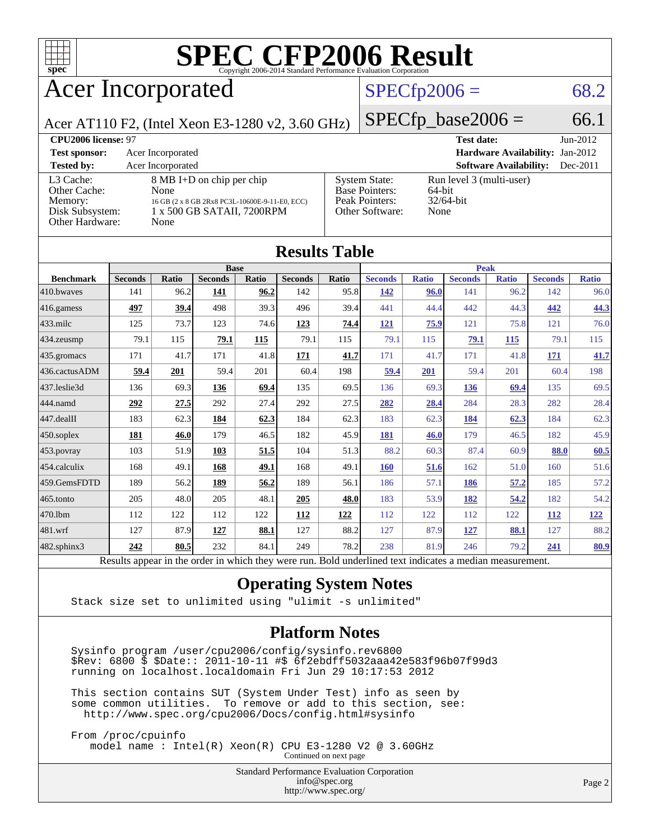

# Acer Incorporated

### $SPECfp2006 = 68.2$  $SPECfp2006 = 68.2$

Acer AT110 F2, (Intel Xeon E3-1280 v2, 3.60 GHz)  $\left| \text{SPECfp\_base2006} \right| = 66.1$ 

| <b>CPU2006 license: 97</b> |                                                |                       | <b>Test date:</b>                      | $Jun-2012$ |
|----------------------------|------------------------------------------------|-----------------------|----------------------------------------|------------|
| <b>Test sponsor:</b>       | Acer Incorporated                              |                       | <b>Hardware Availability: Jan-2012</b> |            |
| <b>Tested by:</b>          | Acer Incorporated                              |                       | <b>Software Availability:</b>          | $Dec-2011$ |
| L3 Cache:                  | 8 MB I+D on chip per chip                      | <b>System State:</b>  | Run level 3 (multi-user)               |            |
| Other Cache:               | None                                           | <b>Base Pointers:</b> | 64-bit                                 |            |
| Memory:                    | 16 GB (2 x 8 GB 2Rx8 PC3L-10600E-9-11-E0, ECC) | Peak Pointers:        | $32/64$ -bit                           |            |
| Disk Subsystem:            | 1 x 500 GB SATAII, 7200RPM                     | Other Software:       | None                                   |            |
| Other Hardware:            | None                                           |                       |                                        |            |

|                  |                                                                                                          |       |                |            | <b>Results Table</b> |       |                |              |                |              |                |              |
|------------------|----------------------------------------------------------------------------------------------------------|-------|----------------|------------|----------------------|-------|----------------|--------------|----------------|--------------|----------------|--------------|
|                  | <b>Base</b>                                                                                              |       |                |            | <b>Peak</b>          |       |                |              |                |              |                |              |
| <b>Benchmark</b> | <b>Seconds</b>                                                                                           | Ratio | <b>Seconds</b> | Ratio      | <b>Seconds</b>       | Ratio | <b>Seconds</b> | <b>Ratio</b> | <b>Seconds</b> | <b>Ratio</b> | <b>Seconds</b> | <b>Ratio</b> |
| 410.bwayes       | 141                                                                                                      | 96.2  | 141            | 96.2       | 142                  | 95.8  | 142            | 96.0         | 141            | 96.2         | 142            | 96.0         |
| 416.gamess       | 497                                                                                                      | 39.4  | 498            | 39.3       | 496                  | 39.4  | 441            | 44.4         | 442            | 44.3         | 442            | 44.3         |
| $433$ .milc      | 125                                                                                                      | 73.7  | 123            | 74.6       | 123                  | 74.4  | 121            | 75.9         | 121            | 75.8         | 121            | 76.0         |
| 434.zeusmp       | 79.1                                                                                                     | 115   | 79.1           | <b>115</b> | 79.1                 | 115   | 79.1           | 115          | 79.1           | 115          | 79.1           | 115          |
| 435.gromacs      | 171                                                                                                      | 41.7  | 171            | 41.8       | 171                  | 41.7  | 171            | 41.7         | 171            | 41.8         | 171            | 41.7         |
| 436.cactusADM    | 59.4                                                                                                     | 201   | 59.4           | 201        | 60.4                 | 198   | 59.4           | 201          | 59.4           | 201          | 60.4           | 198          |
| 437.leslie3d     | 136                                                                                                      | 69.3  | 136            | 69.4       | 135                  | 69.5  | 136            | 69.3         | 136            | 69.4         | 135            | 69.5         |
| 444.namd         | 292                                                                                                      | 27.5  | 292            | 27.4       | 292                  | 27.5  | 282            | 28.4         | 284            | 28.3         | 282            | 28.4         |
| 447.dealII       | 183                                                                                                      | 62.3  | 184            | 62.3       | 184                  | 62.3  | 183            | 62.3         | 184            | 62.3         | 184            | 62.3         |
| 450.soplex       | 181                                                                                                      | 46.0  | 179            | 46.5       | 182                  | 45.9  | 181            | 46.0         | 179            | 46.5         | 182            | 45.9         |
| 453.povray       | 103                                                                                                      | 51.9  | 103            | 51.5       | 104                  | 51.3  | 88.2           | 60.3         | 87.4           | 60.9         | 88.0           | 60.5         |
| 454.calculix     | 168                                                                                                      | 49.1  | 168            | 49.1       | 168                  | 49.1  | 160            | 51.6         | 162            | 51.0         | 160            | 51.6         |
| 459.GemsFDTD     | 189                                                                                                      | 56.2  | 189            | 56.2       | 189                  | 56.1  | 186            | 57.1         | 186            | 57.2         | 185            | 57.2         |
| 465.tonto        | 205                                                                                                      | 48.0  | 205            | 48.1       | 205                  | 48.0  | 183            | 53.9         | 182            | 54.2         | 182            | 54.2         |
| 470.1bm          | 112                                                                                                      | 122   | 112            | 122        | 112                  | 122   | 112            | 122          | 112            | 122          | 112            | <u>122</u>   |
| 481.wrf          | 127                                                                                                      | 87.9  | 127            | 88.1       | 127                  | 88.2  | 127            | 87.9         | 127            | 88.1         | 127            | 88.2         |
| 482.sphinx3      | 242                                                                                                      | 80.5  | 232            | 84.1       | 249                  | 78.2  | 238            | 81.9         | 246            | 79.2         | 241            | 80.9         |
|                  | Results appear in the order in which they were run. Bold underlined text indicates a median measurement. |       |                |            |                      |       |                |              |                |              |                |              |

### **[Operating System Notes](http://www.spec.org/auto/cpu2006/Docs/result-fields.html#OperatingSystemNotes)**

Stack size set to unlimited using "ulimit -s unlimited"

#### **[Platform Notes](http://www.spec.org/auto/cpu2006/Docs/result-fields.html#PlatformNotes)**

 Sysinfo program /user/cpu2006/config/sysinfo.rev6800 \$Rev: 6800 \$ \$Date:: 2011-10-11 #\$ 6f2ebdff5032aaa42e583f96b07f99d3 running on localhost.localdomain Fri Jun 29 10:17:53 2012

 This section contains SUT (System Under Test) info as seen by some common utilities. To remove or add to this section, see: <http://www.spec.org/cpu2006/Docs/config.html#sysinfo>

 From /proc/cpuinfo model name : Intel(R) Xeon(R) CPU E3-1280 V2 @ 3.60GHz Continued on next page

Standard Performance Evaluation Corporation

[info@spec.org](mailto:info@spec.org) <http://www.spec.org/>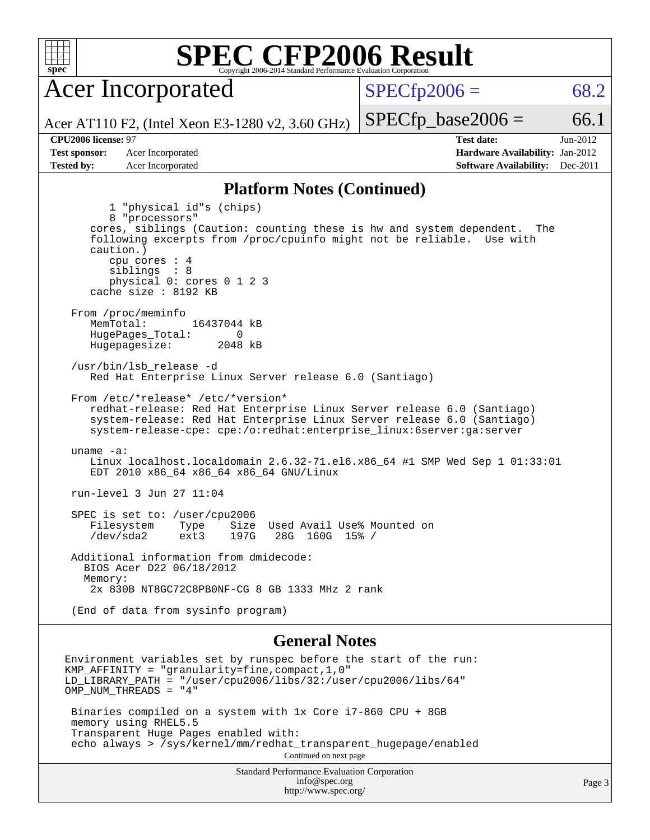

Acer Incorporated

 $SPECfp2006 = 68.2$  $SPECfp2006 = 68.2$ 

Acer AT110 F2, (Intel Xeon E3-1280 v2, 3.60 GHz)

 $SPECTp\_base2006 = 66.1$ 

**[CPU2006 license:](http://www.spec.org/auto/cpu2006/Docs/result-fields.html#CPU2006license)** 97 **[Test date:](http://www.spec.org/auto/cpu2006/Docs/result-fields.html#Testdate)** Jun-2012 **[Test sponsor:](http://www.spec.org/auto/cpu2006/Docs/result-fields.html#Testsponsor)** Acer Incorporated **Acceleration Acer Incorporated <b>[Hardware Availability:](http://www.spec.org/auto/cpu2006/Docs/result-fields.html#HardwareAvailability)** Jan-2012 **[Tested by:](http://www.spec.org/auto/cpu2006/Docs/result-fields.html#Testedby)** Acer Incorporated **[Software Availability:](http://www.spec.org/auto/cpu2006/Docs/result-fields.html#SoftwareAvailability)** Dec-2011

#### **[Platform Notes \(Continued\)](http://www.spec.org/auto/cpu2006/Docs/result-fields.html#PlatformNotes)**

 1 "physical id"s (chips) 8 "processors" cores, siblings (Caution: counting these is hw and system dependent. The following excerpts from /proc/cpuinfo might not be reliable. Use with caution.) cpu cores : 4 siblings : 8 physical 0: cores 0 1 2 3 cache size : 8192 KB From /proc/meminfo MemTotal: 16437044 kB HugePages\_Total: 0<br>Hugepagesize: 2048 kB Hugepagesize: /usr/bin/lsb\_release -d Red Hat Enterprise Linux Server release 6.0 (Santiago) From /etc/\*release\* /etc/\*version\* redhat-release: Red Hat Enterprise Linux Server release 6.0 (Santiago) system-release: Red Hat Enterprise Linux Server release 6.0 (Santiago) system-release-cpe: cpe:/o:redhat:enterprise\_linux:6server:ga:server uname -a: Linux localhost.localdomain 2.6.32-71.el6.x86\_64 #1 SMP Wed Sep 1 01:33:01 EDT 2010 x86\_64 x86\_64 x86\_64 GNU/Linux run-level 3 Jun 27 11:04 SPEC is set to: /user/cpu2006 Filesystem Type Size Used Avail Use% Mounted on<br>
/dev/sda2 ext3 197G 28G 160G 15% / 28G 160G 15% / Additional information from dmidecode: BIOS Acer D22 06/18/2012 Memory: 2x 830B NT8GC72C8PB0NF-CG 8 GB 1333 MHz 2 rank (End of data from sysinfo program)

#### **[General Notes](http://www.spec.org/auto/cpu2006/Docs/result-fields.html#GeneralNotes)**

Environment variables set by runspec before the start of the run: KMP\_AFFINITY = "granularity=fine,compact,1,0" LD\_LIBRARY\_PATH = "/user/cpu2006/libs/32:/user/cpu2006/libs/64" OMP\_NUM\_THREADS = "4" Binaries compiled on a system with 1x Core i7-860 CPU + 8GB memory using RHEL5.5 Transparent Huge Pages enabled with: echo always > /sys/kernel/mm/redhat\_transparent\_hugepage/enabled Continued on next page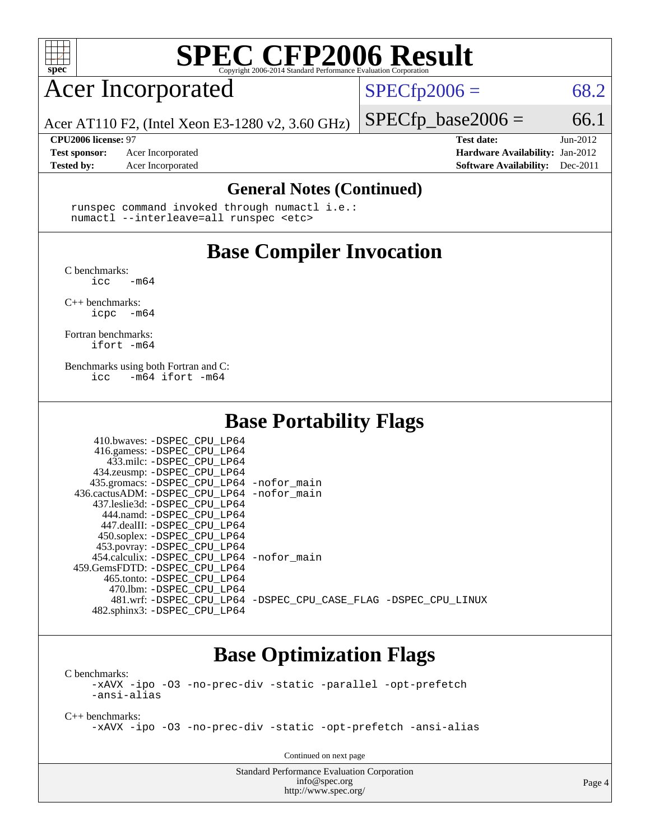

# Acer Incorporated

 $SPECTp2006 = 68.2$ 

Acer AT110 F2, (Intel Xeon E3-1280 v2, 3.60 GHz)

**[Tested by:](http://www.spec.org/auto/cpu2006/Docs/result-fields.html#Testedby)** Acer Incorporated **[Software Availability:](http://www.spec.org/auto/cpu2006/Docs/result-fields.html#SoftwareAvailability)** Dec-2011

 $SPECTp\_base2006 = 66.1$ **[CPU2006 license:](http://www.spec.org/auto/cpu2006/Docs/result-fields.html#CPU2006license)** 97 **[Test date:](http://www.spec.org/auto/cpu2006/Docs/result-fields.html#Testdate)** Jun-2012 **[Test sponsor:](http://www.spec.org/auto/cpu2006/Docs/result-fields.html#Testsponsor)** Acer Incorporated **[Hardware Availability:](http://www.spec.org/auto/cpu2006/Docs/result-fields.html#HardwareAvailability)** Jan-2012

### **[General Notes \(Continued\)](http://www.spec.org/auto/cpu2006/Docs/result-fields.html#GeneralNotes)**

 runspec command invoked through numactl i.e.: numactl --interleave=all runspec <etc>

## **[Base Compiler Invocation](http://www.spec.org/auto/cpu2006/Docs/result-fields.html#BaseCompilerInvocation)**

[C benchmarks](http://www.spec.org/auto/cpu2006/Docs/result-fields.html#Cbenchmarks):

 $\text{icc}$   $-\text{m64}$ 

[C++ benchmarks:](http://www.spec.org/auto/cpu2006/Docs/result-fields.html#CXXbenchmarks) [icpc -m64](http://www.spec.org/cpu2006/results/res2012q3/cpu2006-20120711-23599.flags.html#user_CXXbase_intel_icpc_64bit_bedb90c1146cab66620883ef4f41a67e)

[Fortran benchmarks](http://www.spec.org/auto/cpu2006/Docs/result-fields.html#Fortranbenchmarks): [ifort -m64](http://www.spec.org/cpu2006/results/res2012q3/cpu2006-20120711-23599.flags.html#user_FCbase_intel_ifort_64bit_ee9d0fb25645d0210d97eb0527dcc06e)

[Benchmarks using both Fortran and C](http://www.spec.org/auto/cpu2006/Docs/result-fields.html#BenchmarksusingbothFortranandC): [icc -m64](http://www.spec.org/cpu2006/results/res2012q3/cpu2006-20120711-23599.flags.html#user_CC_FCbase_intel_icc_64bit_0b7121f5ab7cfabee23d88897260401c) [ifort -m64](http://www.spec.org/cpu2006/results/res2012q3/cpu2006-20120711-23599.flags.html#user_CC_FCbase_intel_ifort_64bit_ee9d0fb25645d0210d97eb0527dcc06e)

### **[Base Portability Flags](http://www.spec.org/auto/cpu2006/Docs/result-fields.html#BasePortabilityFlags)**

| 410.bwaves: -DSPEC CPU LP64                 |                                                                |
|---------------------------------------------|----------------------------------------------------------------|
| 416.gamess: -DSPEC_CPU_LP64                 |                                                                |
| 433.milc: -DSPEC CPU LP64                   |                                                                |
| 434.zeusmp: -DSPEC_CPU_LP64                 |                                                                |
| 435.gromacs: -DSPEC_CPU_LP64 -nofor_main    |                                                                |
| 436.cactusADM: -DSPEC_CPU_LP64 -nofor main  |                                                                |
| 437.leslie3d: -DSPEC CPU LP64               |                                                                |
| 444.namd: -DSPEC CPU LP64                   |                                                                |
| 447.dealII: -DSPEC CPU LP64                 |                                                                |
| 450.soplex: -DSPEC CPU LP64                 |                                                                |
| 453.povray: -DSPEC_CPU_LP64                 |                                                                |
| 454.calculix: - DSPEC CPU LP64 - nofor main |                                                                |
| 459. GemsFDTD: - DSPEC CPU LP64             |                                                                |
| 465.tonto: -DSPEC CPU LP64                  |                                                                |
| 470.1bm: - DSPEC CPU LP64                   |                                                                |
|                                             | 481.wrf: -DSPEC CPU_LP64 -DSPEC_CPU_CASE_FLAG -DSPEC_CPU_LINUX |
| 482.sphinx3: -DSPEC_CPU_LP64                |                                                                |

### **[Base Optimization Flags](http://www.spec.org/auto/cpu2006/Docs/result-fields.html#BaseOptimizationFlags)**

[C benchmarks](http://www.spec.org/auto/cpu2006/Docs/result-fields.html#Cbenchmarks): [-xAVX](http://www.spec.org/cpu2006/results/res2012q3/cpu2006-20120711-23599.flags.html#user_CCbase_f-xAVX) [-ipo](http://www.spec.org/cpu2006/results/res2012q3/cpu2006-20120711-23599.flags.html#user_CCbase_f-ipo) [-O3](http://www.spec.org/cpu2006/results/res2012q3/cpu2006-20120711-23599.flags.html#user_CCbase_f-O3) [-no-prec-div](http://www.spec.org/cpu2006/results/res2012q3/cpu2006-20120711-23599.flags.html#user_CCbase_f-no-prec-div) [-static](http://www.spec.org/cpu2006/results/res2012q3/cpu2006-20120711-23599.flags.html#user_CCbase_f-static) [-parallel](http://www.spec.org/cpu2006/results/res2012q3/cpu2006-20120711-23599.flags.html#user_CCbase_f-parallel) [-opt-prefetch](http://www.spec.org/cpu2006/results/res2012q3/cpu2006-20120711-23599.flags.html#user_CCbase_f-opt-prefetch) [-ansi-alias](http://www.spec.org/cpu2006/results/res2012q3/cpu2006-20120711-23599.flags.html#user_CCbase_f-ansi-alias)

[C++ benchmarks:](http://www.spec.org/auto/cpu2006/Docs/result-fields.html#CXXbenchmarks) [-xAVX](http://www.spec.org/cpu2006/results/res2012q3/cpu2006-20120711-23599.flags.html#user_CXXbase_f-xAVX) [-ipo](http://www.spec.org/cpu2006/results/res2012q3/cpu2006-20120711-23599.flags.html#user_CXXbase_f-ipo) [-O3](http://www.spec.org/cpu2006/results/res2012q3/cpu2006-20120711-23599.flags.html#user_CXXbase_f-O3) [-no-prec-div](http://www.spec.org/cpu2006/results/res2012q3/cpu2006-20120711-23599.flags.html#user_CXXbase_f-no-prec-div) [-static](http://www.spec.org/cpu2006/results/res2012q3/cpu2006-20120711-23599.flags.html#user_CXXbase_f-static) [-opt-prefetch](http://www.spec.org/cpu2006/results/res2012q3/cpu2006-20120711-23599.flags.html#user_CXXbase_f-opt-prefetch) [-ansi-alias](http://www.spec.org/cpu2006/results/res2012q3/cpu2006-20120711-23599.flags.html#user_CXXbase_f-ansi-alias)

Continued on next page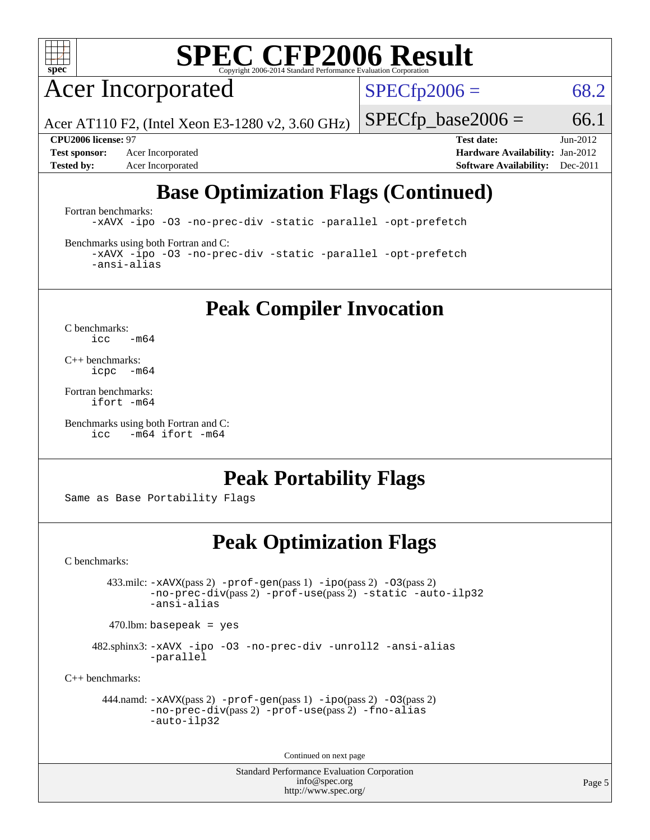

Acer Incorporated

 $SPECfp2006 = 68.2$  $SPECfp2006 = 68.2$ 

Acer AT110 F2, (Intel Xeon E3-1280 v2, 3.60 GHz)

**[Tested by:](http://www.spec.org/auto/cpu2006/Docs/result-fields.html#Testedby)** Acer Incorporated **[Software Availability:](http://www.spec.org/auto/cpu2006/Docs/result-fields.html#SoftwareAvailability)** Dec-2011

**[CPU2006 license:](http://www.spec.org/auto/cpu2006/Docs/result-fields.html#CPU2006license)** 97 **[Test date:](http://www.spec.org/auto/cpu2006/Docs/result-fields.html#Testdate)** Jun-2012 **[Test sponsor:](http://www.spec.org/auto/cpu2006/Docs/result-fields.html#Testsponsor)** Acer Incorporated **Acceleration Acer Incorporated <b>[Hardware Availability:](http://www.spec.org/auto/cpu2006/Docs/result-fields.html#HardwareAvailability)** Jan-2012

 $SPECfp\_base2006 = 66.1$ 

# **[Base Optimization Flags \(Continued\)](http://www.spec.org/auto/cpu2006/Docs/result-fields.html#BaseOptimizationFlags)**

[Fortran benchmarks](http://www.spec.org/auto/cpu2006/Docs/result-fields.html#Fortranbenchmarks):

[-xAVX](http://www.spec.org/cpu2006/results/res2012q3/cpu2006-20120711-23599.flags.html#user_FCbase_f-xAVX) [-ipo](http://www.spec.org/cpu2006/results/res2012q3/cpu2006-20120711-23599.flags.html#user_FCbase_f-ipo) [-O3](http://www.spec.org/cpu2006/results/res2012q3/cpu2006-20120711-23599.flags.html#user_FCbase_f-O3) [-no-prec-div](http://www.spec.org/cpu2006/results/res2012q3/cpu2006-20120711-23599.flags.html#user_FCbase_f-no-prec-div) [-static](http://www.spec.org/cpu2006/results/res2012q3/cpu2006-20120711-23599.flags.html#user_FCbase_f-static) [-parallel](http://www.spec.org/cpu2006/results/res2012q3/cpu2006-20120711-23599.flags.html#user_FCbase_f-parallel) [-opt-prefetch](http://www.spec.org/cpu2006/results/res2012q3/cpu2006-20120711-23599.flags.html#user_FCbase_f-opt-prefetch)

[Benchmarks using both Fortran and C](http://www.spec.org/auto/cpu2006/Docs/result-fields.html#BenchmarksusingbothFortranandC):

[-xAVX](http://www.spec.org/cpu2006/results/res2012q3/cpu2006-20120711-23599.flags.html#user_CC_FCbase_f-xAVX) [-ipo](http://www.spec.org/cpu2006/results/res2012q3/cpu2006-20120711-23599.flags.html#user_CC_FCbase_f-ipo) [-O3](http://www.spec.org/cpu2006/results/res2012q3/cpu2006-20120711-23599.flags.html#user_CC_FCbase_f-O3) [-no-prec-div](http://www.spec.org/cpu2006/results/res2012q3/cpu2006-20120711-23599.flags.html#user_CC_FCbase_f-no-prec-div) [-static](http://www.spec.org/cpu2006/results/res2012q3/cpu2006-20120711-23599.flags.html#user_CC_FCbase_f-static) [-parallel](http://www.spec.org/cpu2006/results/res2012q3/cpu2006-20120711-23599.flags.html#user_CC_FCbase_f-parallel) [-opt-prefetch](http://www.spec.org/cpu2006/results/res2012q3/cpu2006-20120711-23599.flags.html#user_CC_FCbase_f-opt-prefetch) [-ansi-alias](http://www.spec.org/cpu2006/results/res2012q3/cpu2006-20120711-23599.flags.html#user_CC_FCbase_f-ansi-alias)

**[Peak Compiler Invocation](http://www.spec.org/auto/cpu2006/Docs/result-fields.html#PeakCompilerInvocation)**

[C benchmarks](http://www.spec.org/auto/cpu2006/Docs/result-fields.html#Cbenchmarks):  $\text{icc}$  -m64

[C++ benchmarks:](http://www.spec.org/auto/cpu2006/Docs/result-fields.html#CXXbenchmarks) [icpc -m64](http://www.spec.org/cpu2006/results/res2012q3/cpu2006-20120711-23599.flags.html#user_CXXpeak_intel_icpc_64bit_bedb90c1146cab66620883ef4f41a67e)

[Fortran benchmarks](http://www.spec.org/auto/cpu2006/Docs/result-fields.html#Fortranbenchmarks): [ifort -m64](http://www.spec.org/cpu2006/results/res2012q3/cpu2006-20120711-23599.flags.html#user_FCpeak_intel_ifort_64bit_ee9d0fb25645d0210d97eb0527dcc06e)

[Benchmarks using both Fortran and C](http://www.spec.org/auto/cpu2006/Docs/result-fields.html#BenchmarksusingbothFortranandC): [icc -m64](http://www.spec.org/cpu2006/results/res2012q3/cpu2006-20120711-23599.flags.html#user_CC_FCpeak_intel_icc_64bit_0b7121f5ab7cfabee23d88897260401c) [ifort -m64](http://www.spec.org/cpu2006/results/res2012q3/cpu2006-20120711-23599.flags.html#user_CC_FCpeak_intel_ifort_64bit_ee9d0fb25645d0210d97eb0527dcc06e)

## **[Peak Portability Flags](http://www.spec.org/auto/cpu2006/Docs/result-fields.html#PeakPortabilityFlags)**

Same as Base Portability Flags

## **[Peak Optimization Flags](http://www.spec.org/auto/cpu2006/Docs/result-fields.html#PeakOptimizationFlags)**

[C benchmarks](http://www.spec.org/auto/cpu2006/Docs/result-fields.html#Cbenchmarks):

 433.milc: [-xAVX](http://www.spec.org/cpu2006/results/res2012q3/cpu2006-20120711-23599.flags.html#user_peakPASS2_CFLAGSPASS2_LDFLAGS433_milc_f-xAVX)(pass 2) [-prof-gen](http://www.spec.org/cpu2006/results/res2012q3/cpu2006-20120711-23599.flags.html#user_peakPASS1_CFLAGSPASS1_LDFLAGS433_milc_prof_gen_e43856698f6ca7b7e442dfd80e94a8fc)(pass 1) [-ipo](http://www.spec.org/cpu2006/results/res2012q3/cpu2006-20120711-23599.flags.html#user_peakPASS2_CFLAGSPASS2_LDFLAGS433_milc_f-ipo)(pass 2) [-O3](http://www.spec.org/cpu2006/results/res2012q3/cpu2006-20120711-23599.flags.html#user_peakPASS2_CFLAGSPASS2_LDFLAGS433_milc_f-O3)(pass 2) [-no-prec-div](http://www.spec.org/cpu2006/results/res2012q3/cpu2006-20120711-23599.flags.html#user_peakPASS2_CFLAGSPASS2_LDFLAGS433_milc_f-no-prec-div)(pass 2) [-prof-use](http://www.spec.org/cpu2006/results/res2012q3/cpu2006-20120711-23599.flags.html#user_peakPASS2_CFLAGSPASS2_LDFLAGS433_milc_prof_use_bccf7792157ff70d64e32fe3e1250b55)(pass 2) [-static](http://www.spec.org/cpu2006/results/res2012q3/cpu2006-20120711-23599.flags.html#user_peakOPTIMIZE433_milc_f-static) [-auto-ilp32](http://www.spec.org/cpu2006/results/res2012q3/cpu2006-20120711-23599.flags.html#user_peakCOPTIMIZE433_milc_f-auto-ilp32) [-ansi-alias](http://www.spec.org/cpu2006/results/res2012q3/cpu2006-20120711-23599.flags.html#user_peakCOPTIMIZE433_milc_f-ansi-alias)

 $470.$ lbm: basepeak = yes

 482.sphinx3: [-xAVX](http://www.spec.org/cpu2006/results/res2012q3/cpu2006-20120711-23599.flags.html#user_peakOPTIMIZE482_sphinx3_f-xAVX) [-ipo](http://www.spec.org/cpu2006/results/res2012q3/cpu2006-20120711-23599.flags.html#user_peakOPTIMIZE482_sphinx3_f-ipo) [-O3](http://www.spec.org/cpu2006/results/res2012q3/cpu2006-20120711-23599.flags.html#user_peakOPTIMIZE482_sphinx3_f-O3) [-no-prec-div](http://www.spec.org/cpu2006/results/res2012q3/cpu2006-20120711-23599.flags.html#user_peakOPTIMIZE482_sphinx3_f-no-prec-div) [-unroll2](http://www.spec.org/cpu2006/results/res2012q3/cpu2006-20120711-23599.flags.html#user_peakCOPTIMIZE482_sphinx3_f-unroll_784dae83bebfb236979b41d2422d7ec2) [-ansi-alias](http://www.spec.org/cpu2006/results/res2012q3/cpu2006-20120711-23599.flags.html#user_peakCOPTIMIZE482_sphinx3_f-ansi-alias) [-parallel](http://www.spec.org/cpu2006/results/res2012q3/cpu2006-20120711-23599.flags.html#user_peakCOPTIMIZE482_sphinx3_f-parallel)

[C++ benchmarks:](http://www.spec.org/auto/cpu2006/Docs/result-fields.html#CXXbenchmarks)

```
 444.namd: -xAVX(pass 2) -prof-gen(pass 1) -ipo(pass 2) -O3(pass 2)
         -no-prec-div(pass 2) -prof-use(pass 2) -fno-alias
         -auto-ilp32
```
Continued on next page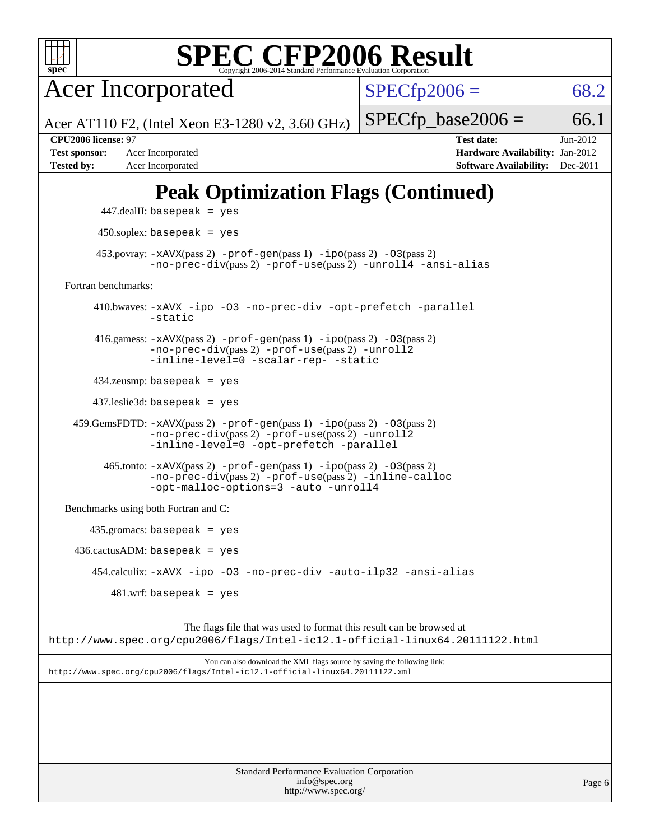

Acer Incorporated

 $SPECTp2006 = 68.2$ 

Acer AT110 F2, (Intel Xeon E3-1280 v2, 3.60 GHz)

**[Test sponsor:](http://www.spec.org/auto/cpu2006/Docs/result-fields.html#Testsponsor)** Acer Incorporated **[Hardware Availability:](http://www.spec.org/auto/cpu2006/Docs/result-fields.html#HardwareAvailability)** Jan-2012 **[Tested by:](http://www.spec.org/auto/cpu2006/Docs/result-fields.html#Testedby)** Acer Incorporated **[Software Availability:](http://www.spec.org/auto/cpu2006/Docs/result-fields.html#SoftwareAvailability)** Dec-2011

**[CPU2006 license:](http://www.spec.org/auto/cpu2006/Docs/result-fields.html#CPU2006license)** 97 **[Test date:](http://www.spec.org/auto/cpu2006/Docs/result-fields.html#Testdate)** Jun-2012

 $SPECTp\_base2006 = 66.1$ 

# **[Peak Optimization Flags \(Continued\)](http://www.spec.org/auto/cpu2006/Docs/result-fields.html#PeakOptimizationFlags)**

```
 447.dealII: basepeak = yes
          450.soplex: basepeak = yes
        453.povray: -xAVX(pass 2) -prof-gen(pass 1) -ipo(pass 2) -03(pass 2)
                  -no-prec-div(pass 2) -prof-use(pass 2) -unroll4 -ansi-alias
   Fortran benchmarks: 
         410.bwaves: -xAVX -ipo -O3 -no-prec-div -opt-prefetch -parallel
                  -static
         416.gamess: -xAVX(pass 2) -prof-gen(pass 1) -ipo(pass 2) -O3(pass 2)
                  -no-prec-div(pass 2) -prof-use(pass 2) -unroll2
                  -inline-level=0 -scalar-rep- -static
         434.zeusmp: basepeak = yes
         437.leslie3d: basepeak = yes
     459.GemsFDTD: -xAVX(pass 2) -prof-gen(pass 1) -ipo(pass 2) -O3(pass 2)
                  -no-prec-div(pass 2) -prof-use(pass 2) -unroll2
                  -inline-level=0 -opt-prefetch -parallel
           465.tonto: -xAVX(pass 2) -prof-gen(pass 1) -ipo(pass 2) -O3(pass 2)
                  -no-prec-div(pass 2) -prof-use(pass 2) -inline-calloc
                  -opt-malloc-options=3-auto-unroll4
   Benchmarks using both Fortran and C: 
        435.gromacs: basepeak = yes
    436.cactusADM:basepeak = yes 454.calculix: -xAVX -ipo -O3 -no-prec-div -auto-ilp32 -ansi-alias
           481 \text{.m}: basepeak = yes
                         The flags file that was used to format this result can be browsed at
http://www.spec.org/cpu2006/flags/Intel-ic12.1-official-linux64.20111122.html
```
You can also download the XML flags source by saving the following link: <http://www.spec.org/cpu2006/flags/Intel-ic12.1-official-linux64.20111122.xml>

| <b>Standard Performance Evaluation Corporation</b> |
|----------------------------------------------------|
| info@spec.org                                      |
| http://www.spec.org/                               |